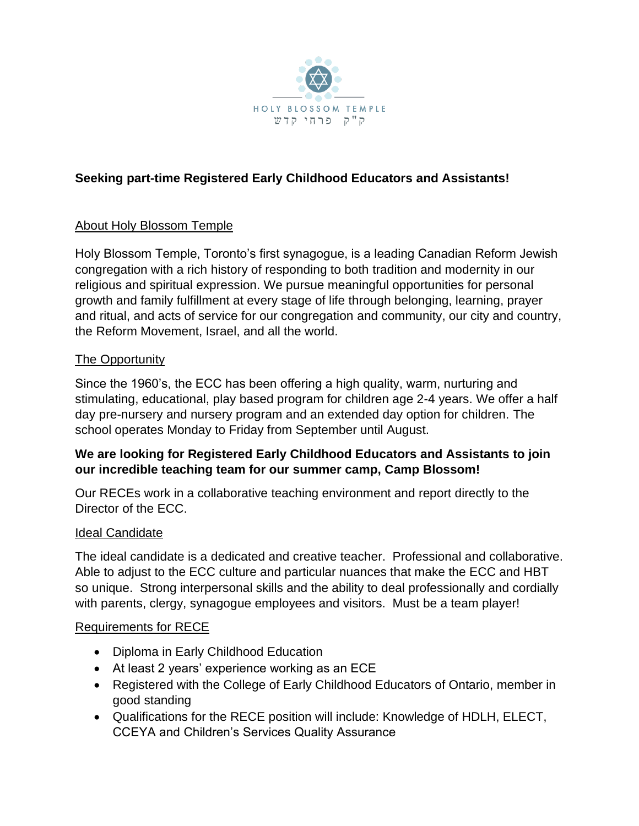

# **Seeking part-time Registered Early Childhood Educators and Assistants!**

## About Holy Blossom Temple

Holy Blossom Temple, Toronto's first synagogue, is a leading Canadian Reform Jewish congregation with a rich history of responding to both tradition and modernity in our religious and spiritual expression. We pursue meaningful opportunities for personal growth and family fulfillment at every stage of life through belonging, learning, prayer and ritual, and acts of service for our congregation and community, our city and country, the Reform Movement, Israel, and all the world.

### The Opportunity

Since the 1960's, the ECC has been offering a high quality, warm, nurturing and stimulating, educational, play based program for children age 2-4 years. We offer a half day pre-nursery and nursery program and an extended day option for children. The school operates Monday to Friday from September until August.

## **We are looking for Registered Early Childhood Educators and Assistants to join our incredible teaching team for our summer camp, Camp Blossom!**

Our RECEs work in a collaborative teaching environment and report directly to the Director of the ECC.

### Ideal Candidate

The ideal candidate is a dedicated and creative teacher. Professional and collaborative. Able to adjust to the ECC culture and particular nuances that make the ECC and HBT so unique. Strong interpersonal skills and the ability to deal professionally and cordially with parents, clergy, synagogue employees and visitors. Must be a team player!

### Requirements for RECE

- Diploma in Early Childhood Education
- At least 2 years' experience working as an ECE
- Registered with the College of Early Childhood Educators of Ontario, member in good standing
- Qualifications for the RECE position will include: Knowledge of HDLH, ELECT, CCEYA and Children's Services Quality Assurance